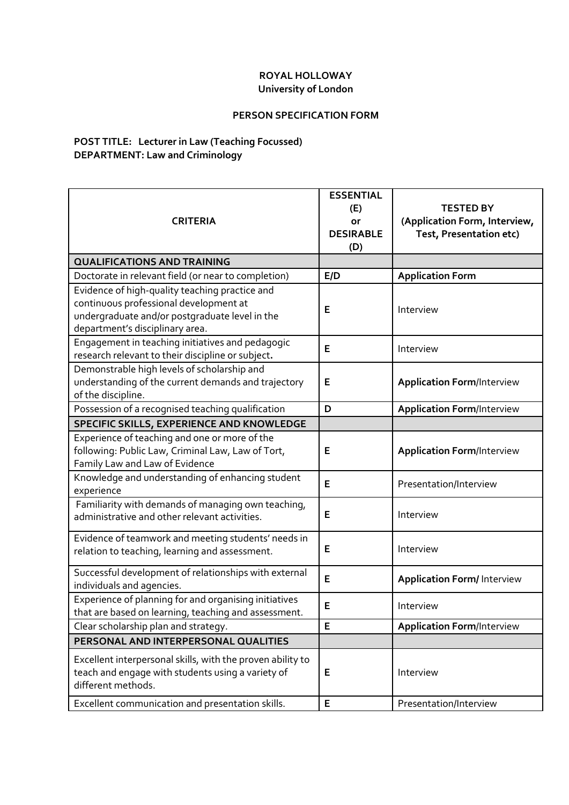## **ROYAL HOLLOWAY University of London**

## **PERSON SPECIFICATION FORM**

## **POST TITLE: Lecturer in Law (Teaching Focussed) DEPARTMENT: Law and Criminology**

| <b>CRITERIA</b>                                                                                                                                                               | <b>ESSENTIAL</b><br>(E)<br>or<br><b>DESIRABLE</b><br>(D) | <b>TESTED BY</b><br>(Application Form, Interview,<br>Test, Presentation etc) |
|-------------------------------------------------------------------------------------------------------------------------------------------------------------------------------|----------------------------------------------------------|------------------------------------------------------------------------------|
| <b>QUALIFICATIONS AND TRAINING</b>                                                                                                                                            |                                                          |                                                                              |
| Doctorate in relevant field (or near to completion)                                                                                                                           | E/D                                                      | <b>Application Form</b>                                                      |
| Evidence of high-quality teaching practice and<br>continuous professional development at<br>undergraduate and/or postgraduate level in the<br>department's disciplinary area. | E                                                        | Interview                                                                    |
| Engagement in teaching initiatives and pedagogic<br>research relevant to their discipline or subject.                                                                         | E                                                        | Interview                                                                    |
| Demonstrable high levels of scholarship and<br>understanding of the current demands and trajectory<br>of the discipline.                                                      | E                                                        | <b>Application Form/Interview</b>                                            |
| Possession of a recognised teaching qualification                                                                                                                             | D                                                        | <b>Application Form/Interview</b>                                            |
| SPECIFIC SKILLS, EXPERIENCE AND KNOWLEDGE                                                                                                                                     |                                                          |                                                                              |
| Experience of teaching and one or more of the<br>following: Public Law, Criminal Law, Law of Tort,<br>Family Law and Law of Evidence                                          | E                                                        | <b>Application Form/Interview</b>                                            |
| Knowledge and understanding of enhancing student<br>experience                                                                                                                | E                                                        | Presentation/Interview                                                       |
| Familiarity with demands of managing own teaching,<br>administrative and other relevant activities.                                                                           | Е                                                        | Interview                                                                    |
| Evidence of teamwork and meeting students' needs in<br>relation to teaching, learning and assessment.                                                                         | E                                                        | Interview                                                                    |
| Successful development of relationships with external<br>individuals and agencies.                                                                                            | E                                                        | <b>Application Form/Interview</b>                                            |
| Experience of planning for and organising initiatives<br>that are based on learning, teaching and assessment.                                                                 | E                                                        | Interview                                                                    |
| Clear scholarship plan and strategy.                                                                                                                                          | E                                                        | <b>Application Form/Interview</b>                                            |
| PERSONAL AND INTERPERSONAL QUALITIES                                                                                                                                          |                                                          |                                                                              |
| Excellent interpersonal skills, with the proven ability to<br>teach and engage with students using a variety of<br>different methods.                                         | Е                                                        | Interview                                                                    |
| Excellent communication and presentation skills.                                                                                                                              | E                                                        | Presentation/Interview                                                       |